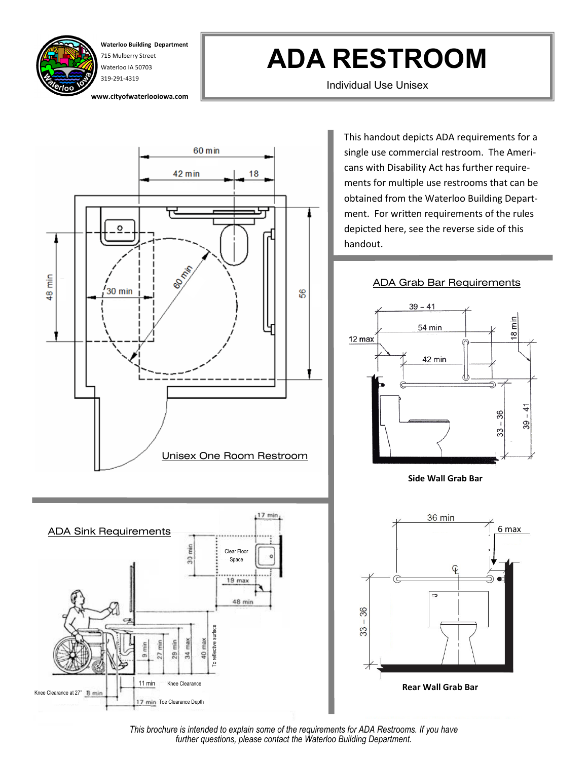

**Waterloo Building Department** 715 Mulberry Street Waterloo IA 50703 319-291-4319

**www.cityofwaterlooiowa.com**

## **ADA RESTROOM**

Individual Use Unisex



This handout depicts ADA requirements for a single use commercial restroom. The Americans with Disability Act has further requirements for multiple use restrooms that can be obtained from the Waterloo Building Department. For written requirements of the rules depicted here, see the reverse side of this handout.

## ADA Grab Bar Requirements



**Side Wall Grab Bar**



*This brochure is intended to explain some of the requirements for ADA Restrooms. If you have further questions, please contact the Waterloo Building Department.*